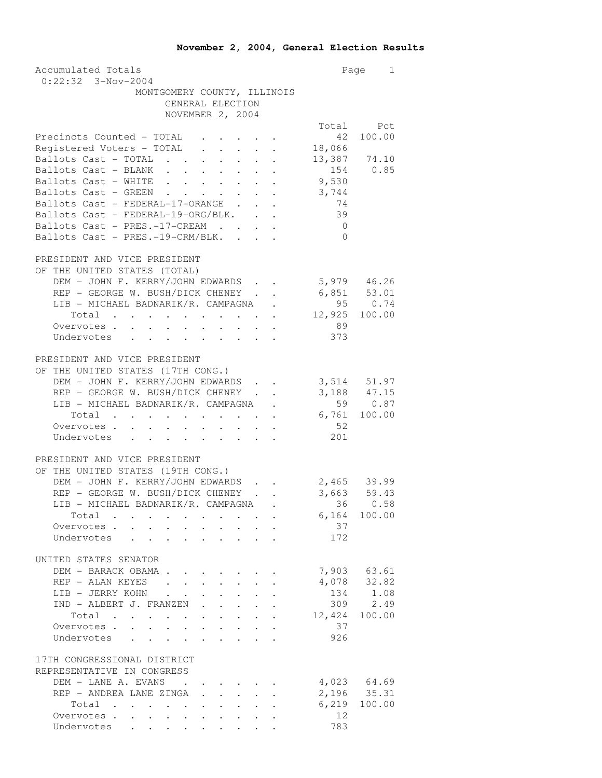| Accumulated Totals                                                                                                                               |                | Page 1                         |
|--------------------------------------------------------------------------------------------------------------------------------------------------|----------------|--------------------------------|
| $0:22:32$ 3-Nov-2004                                                                                                                             |                |                                |
| MONTGOMERY COUNTY, ILLINOIS                                                                                                                      |                |                                |
| GENERAL ELECTION                                                                                                                                 |                |                                |
| NOVEMBER 2, 2004                                                                                                                                 |                |                                |
|                                                                                                                                                  |                | Total Pct                      |
| Precincts Counted - TOTAL                                                                                                                        | 42             | 100.00                         |
| Registered Voters - TOTAL                                                                                                                        | 18,066         |                                |
| Ballots Cast - TOTAL                                                                                                                             |                | 13,387 74.10                   |
| Ballots Cast - BLANK                                                                                                                             |                | $154$ 0.85<br>9,530            |
| Ballots Cast - WHITE                                                                                                                             |                |                                |
| Ballots Cast - GREEN.<br>$\sim$ $\sim$<br>$\mathcal{L}^{\text{max}}$<br>$\sim$ $-$<br>Ballots Cast - GREEN<br>Ballots Cast - FEDERAL-17-ORANGE . | 3,744          |                                |
| $\mathcal{L}^{\text{max}}$<br>$\ddot{\phantom{0}}$                                                                                               | 74             |                                |
| Ballots Cast - FEDERAL-19-ORG/BLK.                                                                                                               | 39             |                                |
| Ballots Cast - PRES.-17-CREAM                                                                                                                    | $\overline{0}$ |                                |
| Ballots Cast - PRES.-19-CRM/BLK.                                                                                                                 | $\bigcirc$     |                                |
|                                                                                                                                                  |                |                                |
| PRESIDENT AND VICE PRESIDENT                                                                                                                     |                |                                |
| OF THE UNITED STATES (TOTAL)                                                                                                                     |                |                                |
| DEM - JOHN F. KERRY/JOHN EDWARDS                                                                                                                 | 5,979 46.26    |                                |
| REP - GEORGE W. BUSH/DICK CHENEY .<br>$\ddot{\phantom{0}}$                                                                                       |                | $6,851$ $53.01$<br>$95$ $0.74$ |
| LIB - MICHAEL BADNARIK/R. CAMPAGNA .                                                                                                             |                |                                |
| Total 12,925 100.00                                                                                                                              |                |                                |
| Overvotes                                                                                                                                        | 89             |                                |
| Undervotes                                                                                                                                       | 373            |                                |
|                                                                                                                                                  |                |                                |
| PRESIDENT AND VICE PRESIDENT                                                                                                                     |                |                                |
| OF THE UNITED STATES (17TH CONG.)                                                                                                                |                |                                |
| DEM - JOHN F. KERRY/JOHN EDWARDS                                                                                                                 |                |                                |
| REP - GEORGE W. BUSH/DICK CHENEY<br>$\sim$<br>$\ddot{\phantom{0}}$                                                                               |                | 3,514 51.97<br>3,188 47.15     |
| LIB - MICHAEL BADNARIK/R. CAMPAGNA .                                                                                                             |                | 59 0.87                        |
| Total 6,761 100.00                                                                                                                               |                |                                |
| Overvotes                                                                                                                                        | 52             |                                |
| Undervotes                                                                                                                                       | 201            |                                |
|                                                                                                                                                  |                |                                |
| PRESIDENT AND VICE PRESIDENT                                                                                                                     |                |                                |
| OF THE UNITED STATES (19TH CONG.)                                                                                                                |                |                                |
| DEM - JOHN F. KERRY/JOHN EDWARDS                                                                                                                 |                |                                |
| REP - GEORGE W. BUSH/DICK CHENEY<br>$\mathbf{r}$ $\mathbf{r}$                                                                                    |                | 2,465 39.99<br>3,663 59.43     |
| LIB - MICHAEL BADNARIK/R. CAMPAGNA .                                                                                                             |                | 36 0.58                        |
|                                                                                                                                                  |                | $6,164$ 100.00                 |
| Total<br>Overvotes.                                                                                                                              | 37             |                                |
|                                                                                                                                                  | 172            |                                |
| Undervotes                                                                                                                                       |                |                                |
|                                                                                                                                                  |                |                                |
| UNITED STATES SENATOR                                                                                                                            |                |                                |
| DEM - BARACK OBAMA                                                                                                                               |                | 7,903 63.61                    |
| REP - ALAN KEYES                                                                                                                                 | 4,078          | 32.82                          |
| LIB - JERRY KOHN<br>$\mathbf{L}^{\text{max}}$<br>$\ddot{\phantom{0}}$                                                                            | 134            | 1.08                           |
| IND - ALBERT J. FRANZEN.<br>$\sim$<br>$\ddot{\phantom{a}}$<br>$\sim$                                                                             | 309            | 2.49                           |
| Total                                                                                                                                            | 12,424 100.00  |                                |
| Overvotes.                                                                                                                                       | 37             |                                |
| Undervotes                                                                                                                                       | 926            |                                |
|                                                                                                                                                  |                |                                |
| 17TH CONGRESSIONAL DISTRICT                                                                                                                      |                |                                |
| REPRESENTATIVE IN CONGRESS                                                                                                                       |                |                                |
| DEM - LANE A. EVANS<br>$\sim$ $\sim$ $\sim$                                                                                                      |                | 4,023 64.69                    |
| REP - ANDREA LANE ZINGA<br>$\mathbf{r}$<br>$\mathbf{L}$                                                                                          |                | $2,196$ $35.31$                |
| $\mathbf{r} = \mathbf{r} + \mathbf{r} + \mathbf{r} + \mathbf{r}$<br>Total                                                                        |                | $6,219$ 100.00                 |
| Overvotes.                                                                                                                                       | 12             |                                |
| Undervotes                                                                                                                                       | 783            |                                |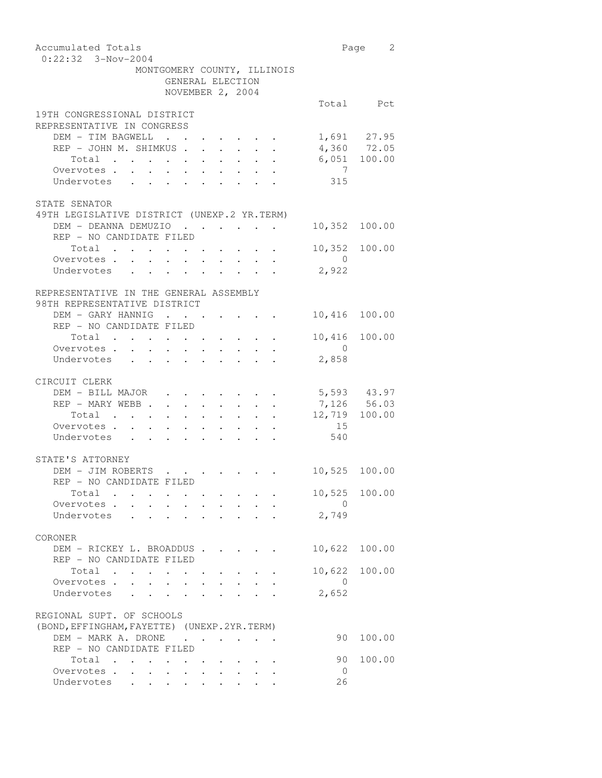| Accumulated Totals                                                                                                                                                                                                           |                | Page 2                      |
|------------------------------------------------------------------------------------------------------------------------------------------------------------------------------------------------------------------------------|----------------|-----------------------------|
| $0:22:32$ 3-Nov-2004                                                                                                                                                                                                         |                |                             |
| MONTGOMERY COUNTY, ILLINOIS                                                                                                                                                                                                  |                |                             |
| GENERAL ELECTION                                                                                                                                                                                                             |                |                             |
| NOVEMBER 2, 2004                                                                                                                                                                                                             |                |                             |
| 19TH CONGRESSIONAL DISTRICT                                                                                                                                                                                                  |                | Total Pct                   |
| REPRESENTATIVE IN CONGRESS                                                                                                                                                                                                   |                |                             |
| DEM - TIM BAGWELL                                                                                                                                                                                                            |                |                             |
| $\mathcal{L}(\mathcal{A})$ , and $\mathcal{L}(\mathcal{A})$<br>$\begin{array}{cccccccccccccc} \bullet & \bullet & \bullet & \bullet & \bullet & \bullet & \bullet & \bullet & \bullet \end{array}$<br>REP - JOHN M. SHIMKUS. |                | 1,691 27.95                 |
| $\ddot{\phantom{0}}$<br>$\mathbf{r} = \mathbf{r} \times \mathbf{r}$ , where $\mathbf{r} = \mathbf{r} \times \mathbf{r}$<br>Total                                                                                             |                | 4,360 72.05<br>6,051 100.00 |
| $\mathbf{r} = \mathbf{r} + \mathbf{r}$ , $\mathbf{r} = \mathbf{r}$<br>$\sim$<br>Overvotes.                                                                                                                                   | $\overline{7}$ |                             |
| $\ddot{\phantom{0}}$<br>$\sim$<br>$\sim$<br>$\ddot{\phantom{0}}$<br>$\sim$ 10 $\pm$<br>Undervotes<br>$\mathbf{r}$ , $\mathbf{r}$<br>$\mathbf{L}$<br>$\mathbf{r}$ $\mathbf{r}$<br>$\mathbf{r}$ , $\mathbf{r}$ , $\mathbf{r}$  | 315            |                             |
|                                                                                                                                                                                                                              |                |                             |
| STATE SENATOR                                                                                                                                                                                                                |                |                             |
| 49TH LEGISLATIVE DISTRICT (UNEXP.2 YR.TERM)                                                                                                                                                                                  |                |                             |
| DEM - DEANNA DEMUZIO                                                                                                                                                                                                         | 10,352 100.00  |                             |
| REP - NO CANDIDATE FILED                                                                                                                                                                                                     |                |                             |
| Total.                                                                                                                                                                                                                       | 10,352 100.00  |                             |
| $\mathcal{L}(\mathcal{A})$ . The contribution of the contribution of $\mathcal{A}$<br>Overvotes .                                                                                                                            | $\overline{0}$ |                             |
| $\ddot{\phantom{0}}$<br>$\ddot{\phantom{0}}$<br>$\sim$<br>Undervotes                                                                                                                                                         | 2,922          |                             |
| $\sim$<br>$\sim$<br>$\sim$ $-$<br>$\sim$                                                                                                                                                                                     |                |                             |
|                                                                                                                                                                                                                              |                |                             |
| REPRESENTATIVE IN THE GENERAL ASSEMBLY                                                                                                                                                                                       |                |                             |
| 98TH REPRESENTATIVE DISTRICT                                                                                                                                                                                                 |                |                             |
| DEM - GARY HANNIG<br>REP - NO CANDIDATE FILED                                                                                                                                                                                | 10,416         | 100.00                      |
|                                                                                                                                                                                                                              |                |                             |
| Total .<br>$\mathbf{a} = \mathbf{a} \cdot \mathbf{a}$ , and $\mathbf{a} = \mathbf{a} \cdot \mathbf{a}$ , and $\mathbf{a} = \mathbf{a} \cdot \mathbf{a}$ , and                                                                | 10,416         | 100.00                      |
| Overvotes                                                                                                                                                                                                                    | $\sim$ 0       |                             |
| Undervotes<br>$\mathbf{r}$ , $\mathbf{r}$ , $\mathbf{r}$ , $\mathbf{r}$<br>$\cdot$ $\cdot$                                                                                                                                   | 2,858          |                             |
|                                                                                                                                                                                                                              |                |                             |
| CIRCUIT CLERK                                                                                                                                                                                                                |                |                             |
| DEM - BILL MAJOR                                                                                                                                                                                                             | 5,593 43.97    |                             |
| REP - MARY WEBB                                                                                                                                                                                                              | 7,126 56.03    |                             |
| Total<br>$\mathcal{L}(\mathcal{A})$ . The contribution of the contribution of the contribution of                                                                                                                            | 12,719         | 100.00                      |
| Overvotes                                                                                                                                                                                                                    | 15             |                             |
| Undervotes                                                                                                                                                                                                                   | 540            |                             |
|                                                                                                                                                                                                                              |                |                             |
| STATE'S ATTORNEY                                                                                                                                                                                                             |                |                             |
| DEM - JIM ROBERTS                                                                                                                                                                                                            | 10,525 100.00  |                             |
| REP – NO CANDIDATE FILED                                                                                                                                                                                                     |                |                             |
| Total                                                                                                                                                                                                                        |                | 10,525 100.00               |
| Overvotes.                                                                                                                                                                                                                   | $\Omega$       |                             |
| Undervotes                                                                                                                                                                                                                   | 2,749          |                             |
|                                                                                                                                                                                                                              |                |                             |
| CORONER                                                                                                                                                                                                                      |                |                             |
| DEM - RICKEY L. BROADDUS                                                                                                                                                                                                     | 10,622         | 100.00                      |
| REP - NO CANDIDATE FILED                                                                                                                                                                                                     |                |                             |
| Total<br>$\mathbf{L} = \mathbf{L} \mathbf{L}$                                                                                                                                                                                | 10,622         | 100.00                      |
| Overvotes<br>$\sim$<br>$\mathbf{r}$<br>$\sim$<br>$\mathbf{L}$<br>$\mathbf{r}$ $\mathbf{r}$                                                                                                                                   | $\Omega$       |                             |
| $\sim$ $\sim$ $\sim$ $\sim$<br>Undervotes                                                                                                                                                                                    | 2,652          |                             |
|                                                                                                                                                                                                                              |                |                             |
| REGIONAL SUPT. OF SCHOOLS                                                                                                                                                                                                    |                |                             |
| (BOND, EFFINGHAM, FAYETTE) (UNEXP. 2YR. TERM)                                                                                                                                                                                |                |                             |
| DEM - MARK A. DRONE                                                                                                                                                                                                          | 90             | 100.00                      |
| REP - NO CANDIDATE FILED                                                                                                                                                                                                     |                |                             |
| Total .                                                                                                                                                                                                                      | 90             | 100.00                      |
| Overvotes<br>$\ddot{\phantom{0}}$<br>$\ddot{\phantom{0}}$<br>$\bullet$ .                                                                                                                                                     | - 0            |                             |
| Undervotes                                                                                                                                                                                                                   | 26             |                             |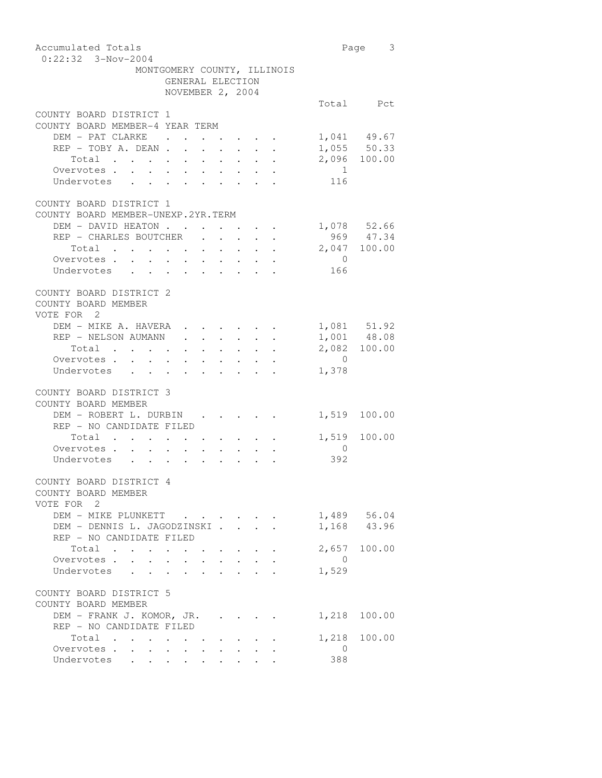| Accumulated Totals<br>$0:22:32$ 3-Nov-2004                                                                                                                                                                                                                                                                                                                                                                                              |                                            |                                                                 |                                               |  |  |                                                                               |                                                                                                                                      |                | Page 3                        |
|-----------------------------------------------------------------------------------------------------------------------------------------------------------------------------------------------------------------------------------------------------------------------------------------------------------------------------------------------------------------------------------------------------------------------------------------|--------------------------------------------|-----------------------------------------------------------------|-----------------------------------------------|--|--|-------------------------------------------------------------------------------|--------------------------------------------------------------------------------------------------------------------------------------|----------------|-------------------------------|
| MONTGOMERY COUNTY, ILLINOIS                                                                                                                                                                                                                                                                                                                                                                                                             |                                            |                                                                 |                                               |  |  |                                                                               |                                                                                                                                      |                |                               |
|                                                                                                                                                                                                                                                                                                                                                                                                                                         | GENERAL ELECTION<br>NOVEMBER 2, 2004       |                                                                 |                                               |  |  |                                                                               |                                                                                                                                      |                |                               |
|                                                                                                                                                                                                                                                                                                                                                                                                                                         |                                            |                                                                 |                                               |  |  |                                                                               |                                                                                                                                      |                |                               |
|                                                                                                                                                                                                                                                                                                                                                                                                                                         |                                            |                                                                 |                                               |  |  |                                                                               |                                                                                                                                      |                | Total Pct                     |
| COUNTY BOARD DISTRICT 1<br>COUNTY BOARD MEMBER-4 YEAR TERM                                                                                                                                                                                                                                                                                                                                                                              |                                            |                                                                 |                                               |  |  |                                                                               |                                                                                                                                      |                |                               |
| DEM - PAT CLARKE .                                                                                                                                                                                                                                                                                                                                                                                                                      |                                            |                                                                 |                                               |  |  |                                                                               |                                                                                                                                      |                |                               |
|                                                                                                                                                                                                                                                                                                                                                                                                                                         |                                            |                                                                 |                                               |  |  |                                                                               |                                                                                                                                      |                | 1,041 49.67                   |
|                                                                                                                                                                                                                                                                                                                                                                                                                                         |                                            |                                                                 |                                               |  |  |                                                                               |                                                                                                                                      |                | $1,055$ 50.33<br>2,096 100.00 |
| Total $\cdots$ $\cdots$ $\cdots$<br>Overvotes .<br>$\ddot{\phantom{a}}$<br>$\ddot{\phantom{0}}$                                                                                                                                                                                                                                                                                                                                         |                                            |                                                                 |                                               |  |  |                                                                               |                                                                                                                                      | $\sim$ 1       |                               |
| Undervotes<br>$\ddot{\phantom{0}}$<br>$\sim$                                                                                                                                                                                                                                                                                                                                                                                            | $\mathbf{r} = \mathbf{r} \cdot \mathbf{r}$ | $\sigma_{\rm{eff}}$ , $\sigma_{\rm{eff}}$ , $\sigma_{\rm{eff}}$ | $\sim$                                        |  |  |                                                                               |                                                                                                                                      | 116            |                               |
|                                                                                                                                                                                                                                                                                                                                                                                                                                         |                                            |                                                                 |                                               |  |  |                                                                               |                                                                                                                                      |                |                               |
| COUNTY BOARD DISTRICT 1                                                                                                                                                                                                                                                                                                                                                                                                                 |                                            |                                                                 |                                               |  |  |                                                                               |                                                                                                                                      |                |                               |
| COUNTY BOARD MEMBER-UNEXP.2YR.TERM                                                                                                                                                                                                                                                                                                                                                                                                      |                                            |                                                                 |                                               |  |  |                                                                               |                                                                                                                                      |                |                               |
| DEM - DAVID HEATON                                                                                                                                                                                                                                                                                                                                                                                                                      |                                            |                                                                 |                                               |  |  |                                                                               |                                                                                                                                      |                | 1,078 52.66                   |
| REP - CHARLES BOUTCHER                                                                                                                                                                                                                                                                                                                                                                                                                  |                                            |                                                                 |                                               |  |  | $\mathbf{r} = \mathbf{r} + \mathbf{r} + \mathbf{r} + \mathbf{r} + \mathbf{r}$ |                                                                                                                                      |                | 969 47.34                     |
| Total                                                                                                                                                                                                                                                                                                                                                                                                                                   |                                            |                                                                 |                                               |  |  |                                                                               |                                                                                                                                      |                | 2,047 100.00                  |
| Overvotes.                                                                                                                                                                                                                                                                                                                                                                                                                              |                                            |                                                                 |                                               |  |  |                                                                               | $\mathbf{r} = \mathbf{r} + \mathbf{r}$ , where $\mathbf{r} = \mathbf{r} + \mathbf{r}$ , where $\mathbf{r} = \mathbf{r}$              | $\overline{0}$ |                               |
| Undervotes                                                                                                                                                                                                                                                                                                                                                                                                                              |                                            |                                                                 |                                               |  |  |                                                                               |                                                                                                                                      | 166            |                               |
|                                                                                                                                                                                                                                                                                                                                                                                                                                         |                                            |                                                                 |                                               |  |  |                                                                               |                                                                                                                                      |                |                               |
| COUNTY BOARD DISTRICT 2                                                                                                                                                                                                                                                                                                                                                                                                                 |                                            |                                                                 |                                               |  |  |                                                                               |                                                                                                                                      |                |                               |
| COUNTY BOARD MEMBER                                                                                                                                                                                                                                                                                                                                                                                                                     |                                            |                                                                 |                                               |  |  |                                                                               |                                                                                                                                      |                |                               |
| VOTE FOR 2                                                                                                                                                                                                                                                                                                                                                                                                                              |                                            |                                                                 |                                               |  |  |                                                                               |                                                                                                                                      |                |                               |
| DEM - MIKE A. HAVERA                                                                                                                                                                                                                                                                                                                                                                                                                    |                                            |                                                                 |                                               |  |  |                                                                               |                                                                                                                                      |                | 1,081 51.92                   |
| REP - NELSON AUMANN                                                                                                                                                                                                                                                                                                                                                                                                                     |                                            |                                                                 |                                               |  |  |                                                                               | $\mathbf{r} = \mathbf{r} + \mathbf{r}$ , where $\mathbf{r} = \mathbf{r} + \mathbf{r}$ , where $\mathbf{r} = \mathbf{r}$              |                | 1,001 48.08                   |
| Total .<br>$\mathbf{a} = \mathbf{a} + \mathbf{a} + \mathbf{a} + \mathbf{a} + \mathbf{a} + \mathbf{a} + \mathbf{a} + \mathbf{a} + \mathbf{a} + \mathbf{a} + \mathbf{a} + \mathbf{a} + \mathbf{a} + \mathbf{a} + \mathbf{a} + \mathbf{a} + \mathbf{a} + \mathbf{a} + \mathbf{a} + \mathbf{a} + \mathbf{a} + \mathbf{a} + \mathbf{a} + \mathbf{a} + \mathbf{a} + \mathbf{a} + \mathbf{a} + \mathbf{a} + \mathbf{a} + \mathbf{a} + \mathbf$ |                                            |                                                                 |                                               |  |  |                                                                               |                                                                                                                                      |                | 2,082 100.00                  |
| Overvotes .<br>$\bullet$ .<br><br><br><br><br><br><br><br><br><br><br><br>                                                                                                                                                                                                                                                                                                                                                              |                                            |                                                                 |                                               |  |  |                                                                               | $\mathbf{r} = \mathbf{r} + \mathbf{r}$ , where $\mathbf{r} = \mathbf{r} + \mathbf{r}$ , where $\mathbf{r} = \mathbf{r} + \mathbf{r}$ | $\overline{0}$ |                               |
| Undervotes<br>$\ddot{\phantom{0}}$<br>$\sim$                                                                                                                                                                                                                                                                                                                                                                                            | $\mathbf{r} = \mathbf{r} + \mathbf{r}$ .   |                                                                 |                                               |  |  |                                                                               |                                                                                                                                      | 1,378          |                               |
|                                                                                                                                                                                                                                                                                                                                                                                                                                         |                                            |                                                                 |                                               |  |  |                                                                               |                                                                                                                                      |                |                               |
| COUNTY BOARD DISTRICT 3                                                                                                                                                                                                                                                                                                                                                                                                                 |                                            |                                                                 |                                               |  |  |                                                                               |                                                                                                                                      |                |                               |
| COUNTY BOARD MEMBER                                                                                                                                                                                                                                                                                                                                                                                                                     |                                            |                                                                 |                                               |  |  |                                                                               |                                                                                                                                      |                |                               |
| DEM - ROBERT L. DURBIN .<br>REP - NO CANDIDATE FILED                                                                                                                                                                                                                                                                                                                                                                                    |                                            |                                                                 |                                               |  |  |                                                                               |                                                                                                                                      |                | 1,519 100.00                  |
| Total                                                                                                                                                                                                                                                                                                                                                                                                                                   |                                            |                                                                 |                                               |  |  |                                                                               |                                                                                                                                      |                | 1,519 100.00                  |
| Overvotes                                                                                                                                                                                                                                                                                                                                                                                                                               |                                            |                                                                 |                                               |  |  |                                                                               |                                                                                                                                      | $\overline{0}$ |                               |
| Undervotes                                                                                                                                                                                                                                                                                                                                                                                                                              |                                            |                                                                 |                                               |  |  |                                                                               |                                                                                                                                      | 392            |                               |
|                                                                                                                                                                                                                                                                                                                                                                                                                                         |                                            |                                                                 |                                               |  |  |                                                                               |                                                                                                                                      |                |                               |
| COUNTY BOARD DISTRICT 4                                                                                                                                                                                                                                                                                                                                                                                                                 |                                            |                                                                 |                                               |  |  |                                                                               |                                                                                                                                      |                |                               |
| COUNTY BOARD MEMBER                                                                                                                                                                                                                                                                                                                                                                                                                     |                                            |                                                                 |                                               |  |  |                                                                               |                                                                                                                                      |                |                               |
| VOTE FOR 2                                                                                                                                                                                                                                                                                                                                                                                                                              |                                            |                                                                 |                                               |  |  |                                                                               |                                                                                                                                      |                |                               |
| DEM - MIKE PLUNKETT                                                                                                                                                                                                                                                                                                                                                                                                                     |                                            |                                                                 |                                               |  |  |                                                                               |                                                                                                                                      |                | 1,489 56.04                   |
| DEM - DENNIS L. JAGODZINSKI                                                                                                                                                                                                                                                                                                                                                                                                             |                                            |                                                                 |                                               |  |  |                                                                               |                                                                                                                                      |                | 1,168 43.96                   |
| REP - NO CANDIDATE FILED                                                                                                                                                                                                                                                                                                                                                                                                                |                                            |                                                                 |                                               |  |  |                                                                               |                                                                                                                                      |                |                               |
| Total                                                                                                                                                                                                                                                                                                                                                                                                                                   |                                            |                                                                 |                                               |  |  |                                                                               |                                                                                                                                      |                | 2,657 100.00                  |
| Overvotes.                                                                                                                                                                                                                                                                                                                                                                                                                              |                                            |                                                                 |                                               |  |  |                                                                               |                                                                                                                                      | $\overline{0}$ |                               |
| Undervotes<br>$\ddot{\phantom{0}}$<br>$\bullet$ .<br><br><br><br><br><br><br><br><br><br><br><br>                                                                                                                                                                                                                                                                                                                                       | $\ddot{\phantom{0}}$                       | $\ddot{\phantom{a}}$                                            | $\ddot{\phantom{a}}$                          |  |  |                                                                               |                                                                                                                                      | 1,529          |                               |
|                                                                                                                                                                                                                                                                                                                                                                                                                                         |                                            |                                                                 |                                               |  |  |                                                                               |                                                                                                                                      |                |                               |
| COUNTY BOARD DISTRICT 5                                                                                                                                                                                                                                                                                                                                                                                                                 |                                            |                                                                 |                                               |  |  |                                                                               |                                                                                                                                      |                |                               |
| COUNTY BOARD MEMBER                                                                                                                                                                                                                                                                                                                                                                                                                     |                                            |                                                                 |                                               |  |  |                                                                               |                                                                                                                                      |                |                               |
| DEM - FRANK J. KOMOR, JR.                                                                                                                                                                                                                                                                                                                                                                                                               |                                            |                                                                 |                                               |  |  |                                                                               |                                                                                                                                      | 1,218          | 100.00                        |
| REP - NO CANDIDATE FILED                                                                                                                                                                                                                                                                                                                                                                                                                |                                            |                                                                 |                                               |  |  |                                                                               |                                                                                                                                      |                |                               |
| Total                                                                                                                                                                                                                                                                                                                                                                                                                                   |                                            |                                                                 | $\bullet$ , and a set of the set of $\bullet$ |  |  |                                                                               |                                                                                                                                      | 1,218          | 100.00                        |
| Overvotes                                                                                                                                                                                                                                                                                                                                                                                                                               |                                            |                                                                 |                                               |  |  |                                                                               |                                                                                                                                      | $\overline{0}$ |                               |
| Undervotes                                                                                                                                                                                                                                                                                                                                                                                                                              |                                            |                                                                 |                                               |  |  | $\bullet$ .                                                                   |                                                                                                                                      | 388            |                               |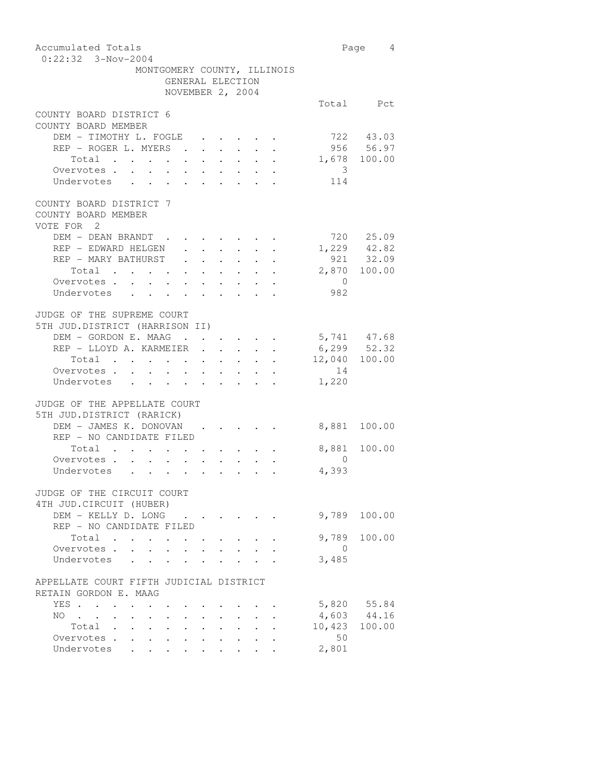| Accumulated Totals                                                                             |                                                                               |                      |                      |                                                       |        |                          | Page 4           |
|------------------------------------------------------------------------------------------------|-------------------------------------------------------------------------------|----------------------|----------------------|-------------------------------------------------------|--------|--------------------------|------------------|
| $0:22:32$ 3-Nov-2004                                                                           |                                                                               |                      |                      |                                                       |        |                          |                  |
|                                                                                                | MONTGOMERY COUNTY, ILLINOIS                                                   |                      |                      |                                                       |        |                          |                  |
|                                                                                                | GENERAL ELECTION                                                              |                      |                      |                                                       |        |                          |                  |
|                                                                                                | NOVEMBER 2, 2004                                                              |                      |                      |                                                       |        |                          |                  |
|                                                                                                |                                                                               |                      |                      |                                                       |        |                          | Total Pct        |
| COUNTY BOARD DISTRICT 6                                                                        |                                                                               |                      |                      |                                                       |        |                          |                  |
| COUNTY BOARD MEMBER                                                                            |                                                                               |                      |                      |                                                       |        |                          |                  |
| DEM - TIMOTHY L. FOGLE                                                                         |                                                                               |                      |                      |                                                       |        |                          | 722 43.03        |
| REP - ROGER L. MYERS .                                                                         |                                                                               |                      |                      |                                                       |        |                          | $956$ $56.97$    |
| Total                                                                                          | $\begin{array}{cccccccccccccc} . & . & . & . & . & . & . & . & . \end{array}$ | $\ddot{\phantom{0}}$ |                      |                                                       |        |                          | 1,678 100.00     |
| Overvotes.                                                                                     |                                                                               |                      |                      |                                                       |        |                          |                  |
|                                                                                                |                                                                               |                      |                      |                                                       |        | $\overline{\phantom{a}}$ |                  |
| Undervotes                                                                                     |                                                                               |                      |                      |                                                       |        | 114                      |                  |
|                                                                                                |                                                                               |                      |                      |                                                       |        |                          |                  |
| COUNTY BOARD DISTRICT 7                                                                        |                                                                               |                      |                      |                                                       |        |                          |                  |
| COUNTY BOARD MEMBER                                                                            |                                                                               |                      |                      |                                                       |        |                          |                  |
| VOTE FOR 2                                                                                     |                                                                               |                      |                      |                                                       |        |                          |                  |
| DEM - DEAN BRANDT                                                                              |                                                                               |                      |                      |                                                       |        |                          | 720 25.09        |
| REP - EDWARD HELGEN                                                                            |                                                                               |                      |                      |                                                       |        |                          | $1,229$ $42.82$  |
| REP - MARY BATHURST                                                                            |                                                                               |                      |                      |                                                       | $\sim$ |                          | $921$ 32.09      |
| $\begin{tabular}{ccccccccccc} Total & . & . & . & . & . & . & . & . & . & . & . \end{tabular}$ |                                                                               |                      |                      |                                                       |        |                          | 2,870 100.00     |
| Overvotes.                                                                                     |                                                                               |                      |                      |                                                       |        | $\overline{0}$           |                  |
| Undervotes                                                                                     |                                                                               |                      |                      |                                                       |        | 982                      |                  |
|                                                                                                |                                                                               |                      |                      |                                                       |        |                          |                  |
| JUDGE OF THE SUPREME COURT                                                                     |                                                                               |                      |                      |                                                       |        |                          |                  |
| 5TH JUD.DISTRICT (HARRISON II)                                                                 |                                                                               |                      |                      |                                                       |        |                          |                  |
| DEM - GORDON E. MAAG                                                                           |                                                                               |                      |                      | $\mathcal{A}$ , and $\mathcal{A}$ , and $\mathcal{A}$ |        |                          | 5,741 47.68      |
| REP - LLOYD A. KARMEIER .                                                                      |                                                                               | $\ddot{\phantom{0}}$ | $\ddot{\phantom{0}}$ | $\ddot{\phantom{0}}$                                  |        |                          | $6, 299$ $52.32$ |
| Total                                                                                          |                                                                               |                      |                      |                                                       |        |                          | 12,040 100.00    |
| Overvotes.                                                                                     |                                                                               |                      |                      |                                                       |        | 14                       |                  |
|                                                                                                |                                                                               |                      |                      |                                                       |        |                          |                  |
| Undervotes                                                                                     |                                                                               |                      |                      |                                                       |        | 1,220                    |                  |
|                                                                                                |                                                                               |                      |                      |                                                       |        |                          |                  |
| JUDGE OF THE APPELLATE COURT                                                                   |                                                                               |                      |                      |                                                       |        |                          |                  |
| 5TH JUD.DISTRICT (RARICK)                                                                      |                                                                               |                      |                      |                                                       |        |                          |                  |
| DEM - JAMES K. DONOVAN                                                                         |                                                                               |                      |                      |                                                       |        |                          | 8,881 100.00     |
| REP - NO CANDIDATE FILED                                                                       |                                                                               |                      |                      |                                                       |        |                          |                  |
| Total                                                                                          |                                                                               |                      |                      |                                                       |        |                          | 8,881 100.00     |
| Overvotes.                                                                                     |                                                                               |                      |                      |                                                       |        | $\Omega$                 |                  |
| Undervotes                                                                                     |                                                                               |                      |                      |                                                       |        | 4,393                    |                  |
|                                                                                                |                                                                               |                      |                      |                                                       |        |                          |                  |
| JUDGE OF THE CIRCUIT COURT                                                                     |                                                                               |                      |                      |                                                       |        |                          |                  |
| 4TH JUD. CIRCUIT (HUBER)                                                                       |                                                                               |                      |                      |                                                       |        |                          |                  |
| DEM - KELLY D. LONG                                                                            |                                                                               |                      |                      |                                                       |        |                          | 9,789 100.00     |
| REP - NO CANDIDATE FILED                                                                       |                                                                               |                      |                      |                                                       |        |                          |                  |
| Total.<br>$\ddot{\phantom{0}}$<br>$\ddot{\phantom{a}}$                                         |                                                                               |                      |                      |                                                       |        |                          | 9,789 100.00     |
| Overvotes .                                                                                    |                                                                               |                      |                      |                                                       |        | $\overline{0}$           |                  |
| Undervotes                                                                                     |                                                                               |                      |                      |                                                       |        | 3,485                    |                  |
|                                                                                                |                                                                               |                      |                      |                                                       |        |                          |                  |
| APPELLATE COURT FIFTH JUDICIAL DISTRICT                                                        |                                                                               |                      |                      |                                                       |        |                          |                  |
| RETAIN GORDON E. MAAG                                                                          |                                                                               |                      |                      |                                                       |        |                          |                  |
|                                                                                                |                                                                               |                      |                      |                                                       |        |                          | 5,820 55.84      |
| YES                                                                                            |                                                                               |                      |                      |                                                       |        |                          |                  |
| NO .<br>$\sim 100$ km s $^{-1}$<br>$\sim$ $-$                                                  |                                                                               |                      |                      |                                                       |        |                          | 4,603 44.16      |
| Total                                                                                          |                                                                               |                      |                      |                                                       |        |                          | 10,423 100.00    |
| Overvotes .                                                                                    |                                                                               |                      |                      |                                                       |        | 50                       |                  |
| Undervotes<br>$\mathbf{r}$<br>$\sim$                                                           | $\sim$                                                                        |                      |                      |                                                       |        | 2,801                    |                  |